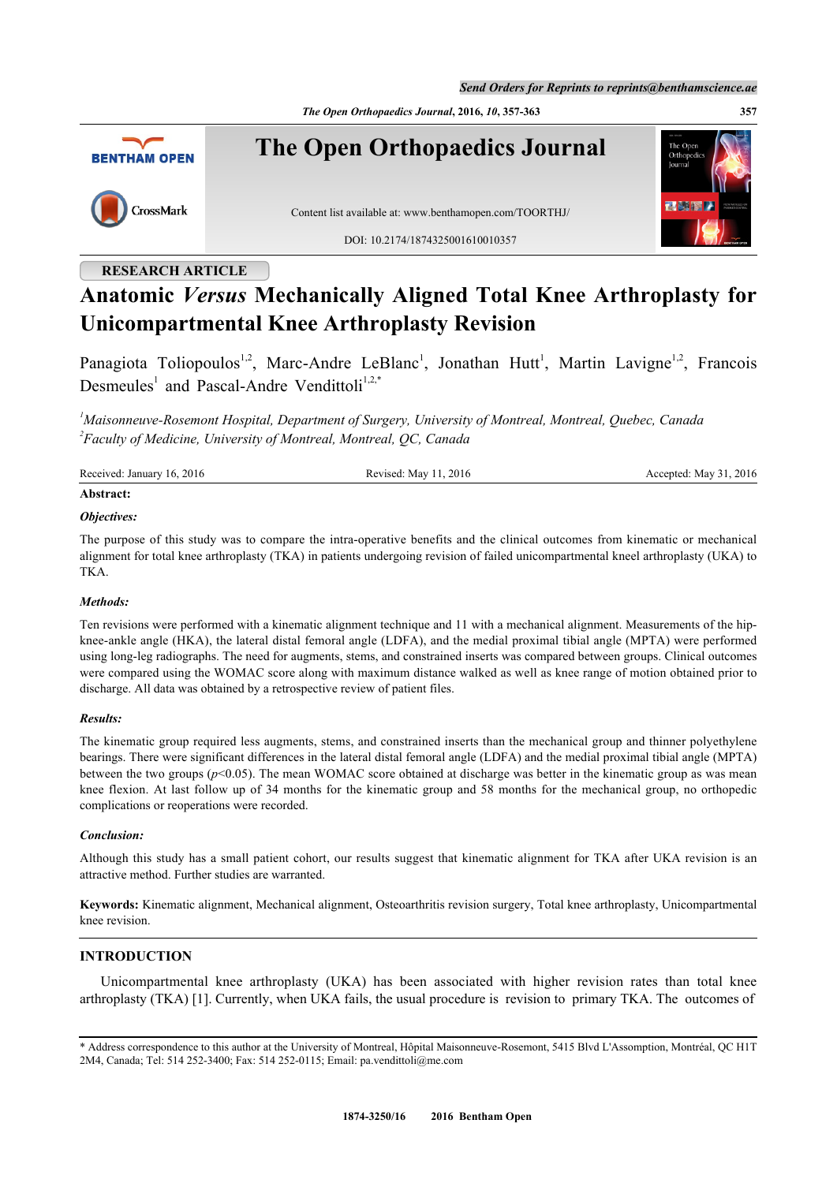*The Open Orthopaedics Journal***, 2016,** *10***, 357-363 357**



## **RESEARCH ARTICLE**

# **Anatomic** *Versus* **Mechanically Aligned Total Knee Arthroplasty for Unicompartmental Knee Arthroplasty Revision**

Panagiota Toliopoulos<sup>[1](#page-0-0)[,2](#page-0-1)</sup>, Marc-Andre LeBlanc<sup>1</sup>, Jonathan Hutt<sup>1</sup>, Martin Lavigne<sup>1,[2](#page-0-1)</sup>, Francois Desmeules<sup>[1](#page-0-0)</sup> and Pascal-Andre Vendittoli<sup>[1,](#page-0-0)[2,](#page-0-1)[\\*](#page-0-2)</sup>

<span id="page-0-1"></span><span id="page-0-0"></span>*<sup>1</sup>Maisonneuve-Rosemont Hospital, Department of Surgery, University of Montreal, Montreal, Quebec, Canada 2 Faculty of Medicine, University of Montreal, Montreal, QC, Canada*

| Received: January 16, 2016 | Revised: May 11, 2016 | Accepted: May 31, 2016 |
|----------------------------|-----------------------|------------------------|
| Abstract:                  |                       |                        |

### *Objectives:*

The purpose of this study was to compare the intra-operative benefits and the clinical outcomes from kinematic or mechanical alignment for total knee arthroplasty (TKA) in patients undergoing revision of failed unicompartmental kneel arthroplasty (UKA) to TKA.

#### *Methods:*

Ten revisions were performed with a kinematic alignment technique and 11 with a mechanical alignment. Measurements of the hipknee-ankle angle (HKA), the lateral distal femoral angle (LDFA), and the medial proximal tibial angle (MPTA) were performed using long-leg radiographs. The need for augments, stems, and constrained inserts was compared between groups. Clinical outcomes were compared using the WOMAC score along with maximum distance walked as well as knee range of motion obtained prior to discharge. All data was obtained by a retrospective review of patient files.

#### *Results:*

The kinematic group required less augments, stems, and constrained inserts than the mechanical group and thinner polyethylene bearings. There were significant differences in the lateral distal femoral angle (LDFA) and the medial proximal tibial angle (MPTA) between the two groups ( $p<0.05$ ). The mean WOMAC score obtained at discharge was better in the kinematic group as was mean knee flexion. At last follow up of 34 months for the kinematic group and 58 months for the mechanical group, no orthopedic complications or reoperations were recorded.

## *Conclusion:*

Although this study has a small patient cohort, our results suggest that kinematic alignment for TKA after UKA revision is an attractive method. Further studies are warranted.

**Keywords:** Kinematic alignment, Mechanical alignment, Osteoarthritis revision surgery, Total knee arthroplasty, Unicompartmental knee revision.

## **INTRODUCTION**

Unicompartmental knee arthroplasty (UKA) has been associated with higher revision rates than total knee arthroplasty (TKA) [\[1](#page-5-0)]. Currently, when UKA fails, the usual procedure is revision to primary TKA. The outcomes of

<span id="page-0-2"></span><sup>\*</sup> Address correspondence to this author at the University of Montreal, Hôpital Maisonneuve-Rosemont, 5415 Blvd L'Assomption, Montréal, QC H1T 2M4, Canada; Tel: 514 252-3400; Fax: 514 252-0115; Email: [pa.vendittoli@me.com](mailto:pa.vendittoli@me.com)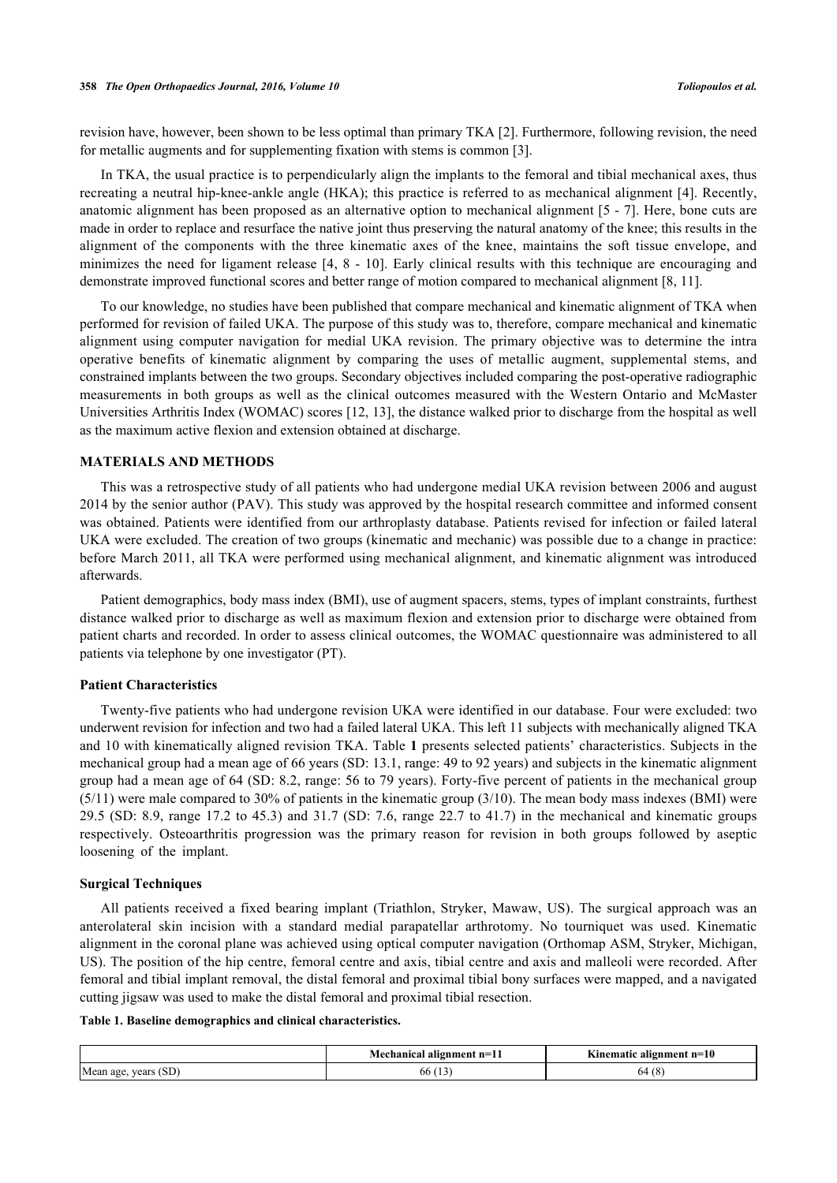revision have, however, been shown to be less optimal than primary TKA [[2\]](#page-5-1). Furthermore, following revision, the need for metallic augments and for supplementing fixation with stems is common [\[3](#page-5-2)].

In TKA, the usual practice is to perpendicularly align the implants to the femoral and tibial mechanical axes, thus recreating a neutral hip-knee-ankle angle (HKA); this practice is referred to as mechanical alignment [\[4](#page-5-3)]. Recently, anatomic alignment has been proposed as an alternative option to mechanical alignment [\[5](#page-5-4) - [7\]](#page-6-0). Here, bone cuts are made in order to replace and resurface the native joint thus preserving the natural anatomy of the knee; this results in the alignment of the components with the three kinematic axes of the knee, maintains the soft tissue envelope, and minimizes the need for ligament release [[4,](#page-5-3) [8](#page-6-1) - [10\]](#page-6-2). Early clinical results with this technique are encouraging and demonstrate improved functional scores and better range of motion compared to mechanical alignment [\[8](#page-6-1), [11](#page-6-3)].

To our knowledge, no studies have been published that compare mechanical and kinematic alignment of TKA when performed for revision of failed UKA. The purpose of this study was to, therefore, compare mechanical and kinematic alignment using computer navigation for medial UKA revision. The primary objective was to determine the intra operative benefits of kinematic alignment by comparing the uses of metallic augment, supplemental stems, and constrained implants between the two groups. Secondary objectives included comparing the post-operative radiographic measurements in both groups as well as the clinical outcomes measured with the Western Ontario and McMaster Universities Arthritis Index (WOMAC) scores [[12,](#page-6-4) [13\]](#page-6-5), the distance walked prior to discharge from the hospital as well as the maximum active flexion and extension obtained at discharge.

### **MATERIALS AND METHODS**

This was a retrospective study of all patients who had undergone medial UKA revision between 2006 and august 2014 by the senior author (PAV). This study was approved by the hospital research committee and informed consent was obtained. Patients were identified from our arthroplasty database. Patients revised for infection or failed lateral UKA were excluded. The creation of two groups (kinematic and mechanic) was possible due to a change in practice: before March 2011, all TKA were performed using mechanical alignment, and kinematic alignment was introduced afterwards.

Patient demographics, body mass index (BMI), use of augment spacers, stems, types of implant constraints, furthest distance walked prior to discharge as well as maximum flexion and extension prior to discharge were obtained from patient charts and recorded. In order to assess clinical outcomes, the WOMAC questionnaire was administered to all patients via telephone by one investigator (PT).

#### **Patient Characteristics**

Twenty-five patients who had undergone revision UKA were identified in our database. Four were excluded: two underwent revision for infection and two had a failed lateral UKA. This left 11 subjects with mechanically aligned TKA and 10 with kinematically aligned revision TKA. Table **[1](#page-1-0)** presents selected patients' characteristics. Subjects in the mechanical group had a mean age of 66 years (SD: 13.1, range: 49 to 92 years) and subjects in the kinematic alignment group had a mean age of 64 (SD: 8.2, range: 56 to 79 years). Forty-five percent of patients in the mechanical group (5/11) were male compared to 30% of patients in the kinematic group (3/10). The mean body mass indexes (BMI) were 29.5 (SD: 8.9, range 17.2 to 45.3) and 31.7 (SD: 7.6, range 22.7 to 41.7) in the mechanical and kinematic groups respectively. Osteoarthritis progression was the primary reason for revision in both groups followed by aseptic loosening of the implant.

#### **Surgical Techniques**

All patients received a fixed bearing implant (Triathlon, Stryker, Mawaw, US). The surgical approach was an anterolateral skin incision with a standard medial parapatellar arthrotomy. No tourniquet was used. Kinematic alignment in the coronal plane was achieved using optical computer navigation (Orthomap ASM, Stryker, Michigan, US). The position of the hip centre, femoral centre and axis, tibial centre and axis and malleoli were recorded. After femoral and tibial implant removal, the distal femoral and proximal tibial bony surfaces were mapped, and a navigated cutting jigsaw was used to make the distal femoral and proximal tibial resection.

#### <span id="page-1-0"></span>**Table 1. Baseline demographics and clinical characteristics.**

|                                              | Mechanical<br>  alignment n=1 | $\mathbf{v}$<br>Kinematic alignment n=10 |
|----------------------------------------------|-------------------------------|------------------------------------------|
| $^{\prime}$ CD<br>Mean age<br>vears<br>י שפ. | 66<br>. .                     | 7Ω<br>04<br>. .                          |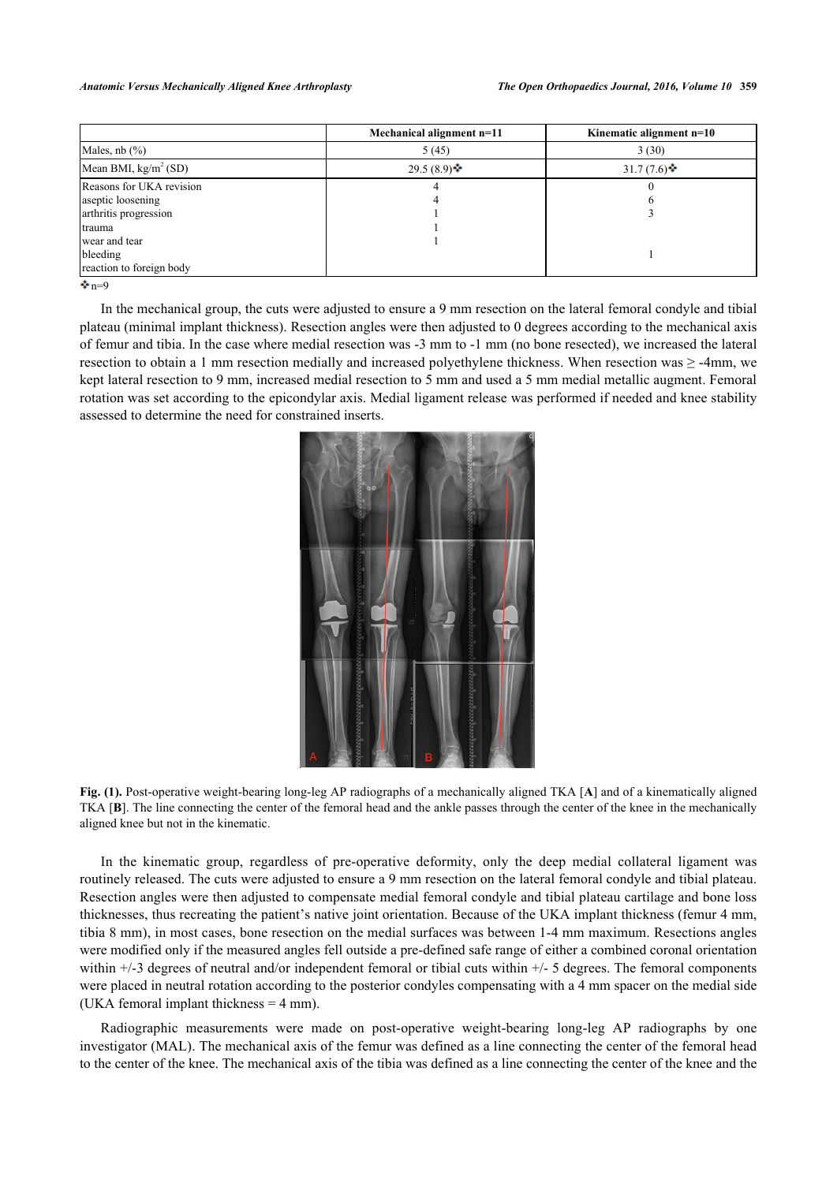#### *Anatomic Versus Mechanically Aligned Knee Arthroplasty The Open Orthopaedics Journal, 2016, Volume 10* **359**

|                                                                                                                                           | Mechanical alignment n=11 | Kinematic alignment n=10 |
|-------------------------------------------------------------------------------------------------------------------------------------------|---------------------------|--------------------------|
| Males, $nb(%)$                                                                                                                            | 5(45)                     | 3(30)                    |
| Mean BMI, $kg/m^2(SD)$                                                                                                                    | 29.5(8.9)                 | 31.7 $(7.6)$             |
| Reasons for UKA revision<br>aseptic loosening<br>arthritis progression<br>trauma<br>wear and tear<br>bleeding<br>reaction to foreign body |                           |                          |

 $\clubsuit$ <sub>n=9</sub>

<span id="page-2-0"></span>In the mechanical group, the cuts were adjusted to ensure a 9 mm resection on the lateral femoral condyle and tibial plateau (minimal implant thickness). Resection angles were then adjusted to 0 degrees according to the mechanical axis of femur and tibia. In the case where medial resection was -3 mm to -1 mm (no bone resected), we increased the lateral resection to obtain a 1 mm resection medially and increased polyethylene thickness. When resection was  $\geq$  -4mm, we kept lateral resection to 9 mm, increased medial resection to 5 mm and used a 5 mm medial metallic augment. Femoral rotation was set according to the epicondylar axis. Medial ligament release was performed if needed and knee stability assessed to determine the need for constrained inserts.



**Fig. (1).** Post-operative weight-bearing long-leg AP radiographs of a mechanically aligned TKA [**A**] and of a kinematically aligned TKA [**B**]. The line connecting the center of the femoral head and the ankle passes through the center of the knee in the mechanically aligned knee but not in the kinematic.

In the kinematic group, regardless of pre-operative deformity, only the deep medial collateral ligament was routinely released. The cuts were adjusted to ensure a 9 mm resection on the lateral femoral condyle and tibial plateau. Resection angles were then adjusted to compensate medial femoral condyle and tibial plateau cartilage and bone loss thicknesses, thus recreating the patient's native joint orientation. Because of the UKA implant thickness (femur 4 mm, tibia 8 mm), in most cases, bone resection on the medial surfaces was between 1-4 mm maximum. Resections angles were modified only if the measured angles fell outside a pre-defined safe range of either a combined coronal orientation within  $+/3$  degrees of neutral and/or independent femoral or tibial cuts within  $+/-5$  degrees. The femoral components were placed in neutral rotation according to the posterior condyles compensating with a 4 mm spacer on the medial side (UKA femoral implant thickness = 4 mm).

Radiographic measurements were made on post-operative weight-bearing long-leg AP radiographs by one investigator (MAL). The mechanical axis of the femur was defined as a line connecting the center of the femoral head to the center of the knee. The mechanical axis of the tibia was defined as a line connecting the center of the knee and the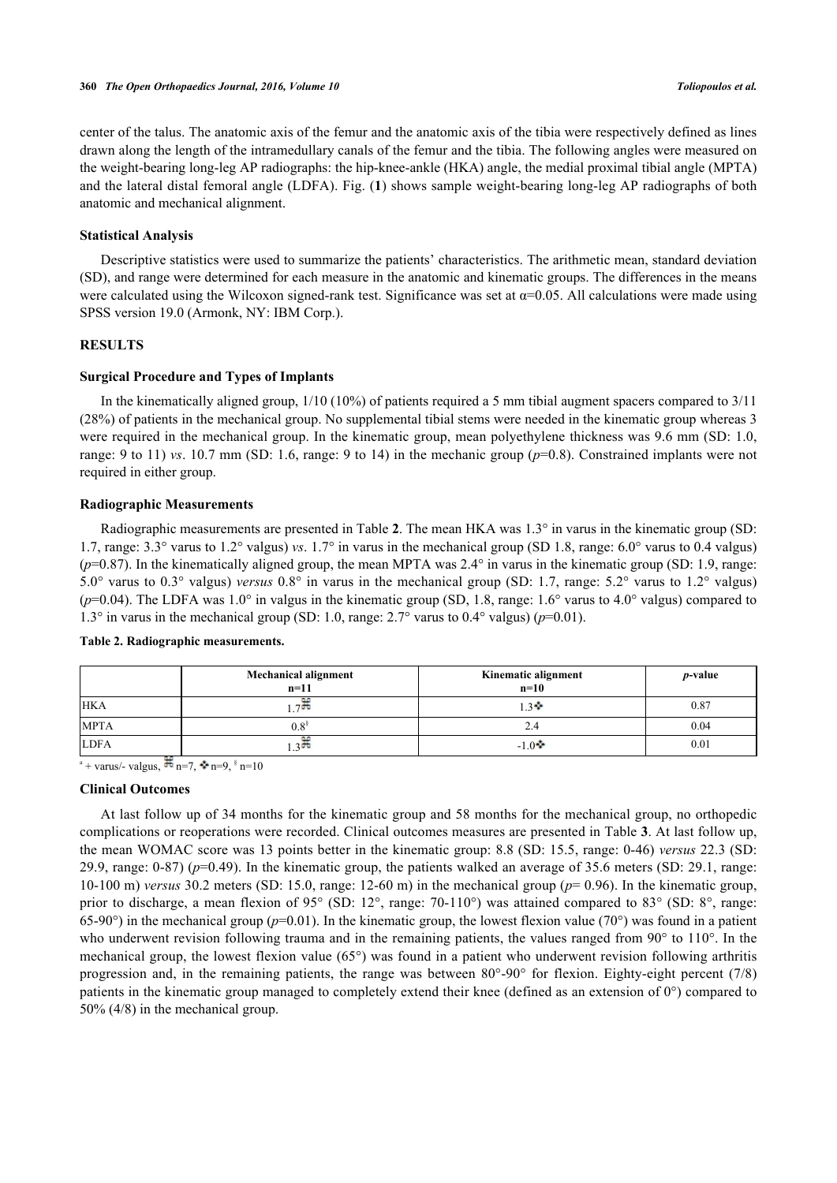center of the talus. The anatomic axis of the femur and the anatomic axis of the tibia were respectively defined as lines drawn along the length of the intramedullary canals of the femur and the tibia. The following angles were measured on the weight-bearing long-leg AP radiographs: the hip-knee-ankle (HKA) angle, the medial proximal tibial angle (MPTA) and the lateral distal femoral angle (LDFA). Fig. (**[1](#page-2-0)**) shows sample weight-bearing long-leg AP radiographs of both anatomic and mechanical alignment.

#### **Statistical Analysis**

Descriptive statistics were used to summarize the patients' characteristics. The arithmetic mean, standard deviation (SD), and range were determined for each measure in the anatomic and kinematic groups. The differences in the means were calculated using the Wilcoxon signed-rank test. Significance was set at  $\alpha$ =0.05. All calculations were made using SPSS version 19.0 (Armonk, NY: IBM Corp.).

## **RESULTS**

#### **Surgical Procedure and Types of Implants**

In the kinematically aligned group, 1/10 (10%) of patients required a 5 mm tibial augment spacers compared to 3/11 (28%) of patients in the mechanical group. No supplemental tibial stems were needed in the kinematic group whereas 3 were required in the mechanical group. In the kinematic group, mean polyethylene thickness was 9.6 mm (SD: 1.0, range: 9 to 11) *vs*. 10.7 mm (SD: 1.6, range: 9 to 14) in the mechanic group (*p*=0.8). Constrained implants were not required in either group.

#### **Radiographic Measurements**

Radiographic measurements are presented in Table **[2](#page-3-0)**. The mean HKA was 1.3° in varus in the kinematic group (SD: 1.7, range: 3.3° varus to 1.2° valgus) *vs*. 1.7° in varus in the mechanical group (SD 1.8, range: 6.0° varus to 0.4 valgus)  $(p=0.87)$ . In the kinematically aligned group, the mean MPTA was  $2.4^{\circ}$  in varus in the kinematic group (SD: 1.9, range: 5.0° varus to 0.3° valgus) *versus* 0.8° in varus in the mechanical group (SD: 1.7, range: 5.2° varus to 1.2° valgus) (*p*=0.04). The LDFA was 1.0° in valgus in the kinematic group (SD, 1.8, range: 1.6° varus to 4.0° valgus) compared to 1.3° in varus in the mechanical group (SD: 1.0, range:  $2.7^\circ$  varus to  $0.4^\circ$  valgus) ( $p=0.01$ ).

|             | <b>Mechanical alignment</b><br>$n=11$ | <b>Kinematic alignment</b><br>$n=10$ | <i>p</i> -value |
|-------------|---------------------------------------|--------------------------------------|-----------------|
| <b>HKA</b>  | 700                                   | 1.3❖                                 | 0.87            |
| <b>MPTA</b> | $0.8^{\rm s}$                         | 2.4                                  | 0.04            |
| <b>LDFA</b> | 200                                   | 1.0                                  | 0.01            |

#### <span id="page-3-0"></span>**Table 2. Radiographic measurements.**

<sup>a</sup> + varus/- valgus,  $\overline{m}$  n=7,  $\cdot$  n=9,  $\frac{8}{3}$  n=10

#### **Clinical Outcomes**

At last follow up of 34 months for the kinematic group and 58 months for the mechanical group, no orthopedic complications or reoperations were recorded. Clinical outcomes measures are presented in Table **[3](#page-4-0)**. At last follow up, the mean WOMAC score was 13 points better in the kinematic group: 8.8 (SD: 15.5, range: 0-46) *versus* 22.3 (SD: 29.9, range: 0-87) (*p*=0.49). In the kinematic group, the patients walked an average of 35.6 meters (SD: 29.1, range: 10-100 m) *versus* 30.2 meters (SD: 15.0, range: 12-60 m) in the mechanical group (*p*= 0.96). In the kinematic group, prior to discharge, a mean flexion of 95° (SD: 12°, range: 70-110°) was attained compared to 83° (SD: 8°, range: 65-90°) in the mechanical group ( $p=0.01$ ). In the kinematic group, the lowest flexion value (70°) was found in a patient who underwent revision following trauma and in the remaining patients, the values ranged from 90° to 110°. In the mechanical group, the lowest flexion value (65°) was found in a patient who underwent revision following arthritis progression and, in the remaining patients, the range was between 80°-90° for flexion. Eighty-eight percent (7/8) patients in the kinematic group managed to completely extend their knee (defined as an extension of 0°) compared to 50% (4/8) in the mechanical group.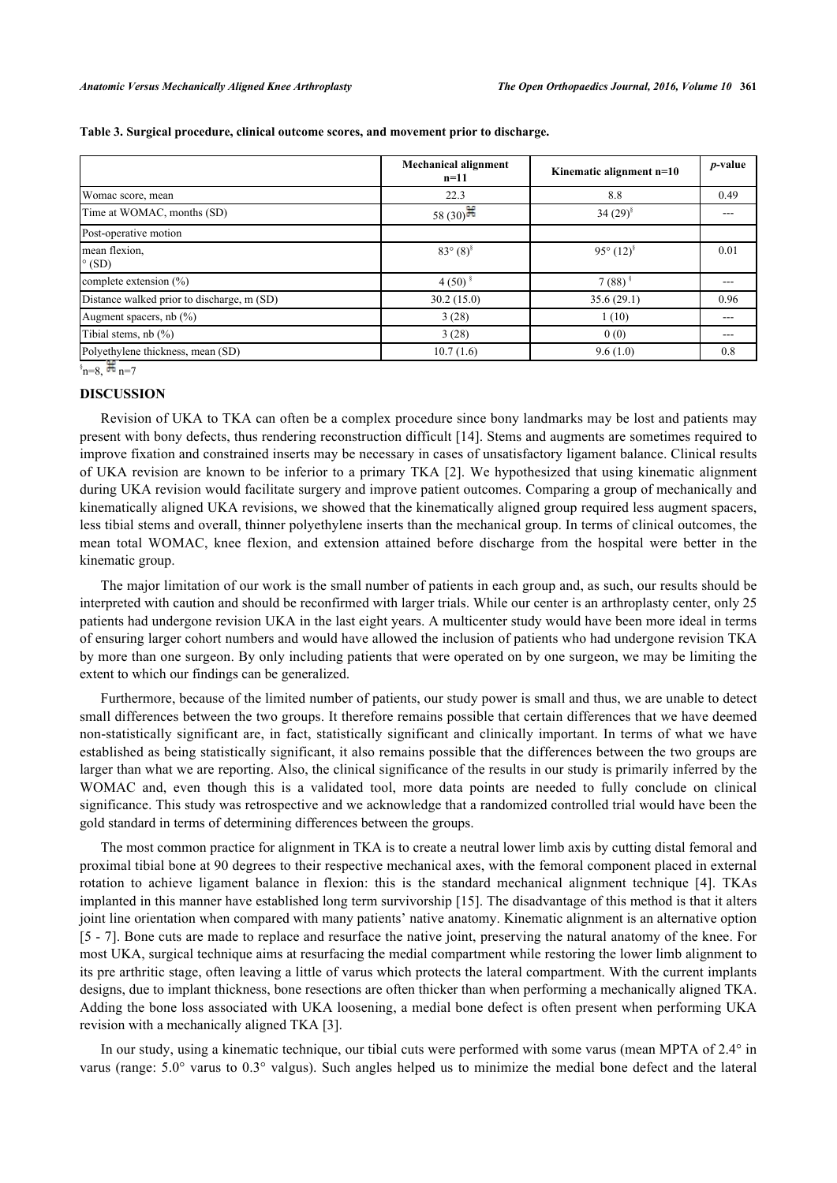|                                            | <b>Mechanical alignment</b><br>$n=11$ | Kinematic alignment n=10 | <i>p</i> -value |
|--------------------------------------------|---------------------------------------|--------------------------|-----------------|
| Womac score, mean                          | 22.3                                  | 8.8                      | 0.49            |
| Time at WOMAC, months (SD)                 | $58(30)$ <sup>H</sup>                 | 34 $(29)^8$              |                 |
| Post-operative motion                      |                                       |                          |                 |
| mean flexion.<br>$\circ$ (SD)              | $83^{\circ} (8)^{8}$                  | $95^{\circ} (12)^{8}$    | 0.01            |
| complete extension $(\% )$                 | 4(50)                                 | 7 (88) <sup>§</sup>      |                 |
| Distance walked prior to discharge, m (SD) | 30.2(15.0)                            | 35.6(29.1)               | 0.96            |
| Augment spacers, nb $(\% )$                | 3(28)                                 | 1(10)                    |                 |
| Tibial stems, $nb$ (%)                     | 3(28)                                 | 0(0)                     | ---             |
| Polyethylene thickness, mean (SD)<br>- 88  | 10.7(1.6)                             | 9.6(1.0)                 | 0.8             |

<span id="page-4-0"></span>**Table 3. Surgical procedure, clinical outcome scores, and movement prior to discharge.**

 $\mathrm{s}_{\mathrm{n=8},\,}$   $\mathrm{m}_{\mathrm{n=7}}$ 

#### **DISCUSSION**

Revision of UKA to TKA can often be a complex procedure since bony landmarks may be lost and patients may present with bony defects, thus rendering reconstruction difficult [[14\]](#page-6-6). Stems and augments are sometimes required to improve fixation and constrained inserts may be necessary in cases of unsatisfactory ligament balance. Clinical results of UKA revision are known to be inferior to a primary TKA [[2\]](#page-5-1). We hypothesized that using kinematic alignment during UKA revision would facilitate surgery and improve patient outcomes. Comparing a group of mechanically and kinematically aligned UKA revisions, we showed that the kinematically aligned group required less augment spacers, less tibial stems and overall, thinner polyethylene inserts than the mechanical group. In terms of clinical outcomes, the mean total WOMAC, knee flexion, and extension attained before discharge from the hospital were better in the kinematic group.

The major limitation of our work is the small number of patients in each group and, as such, our results should be interpreted with caution and should be reconfirmed with larger trials. While our center is an arthroplasty center, only 25 patients had undergone revision UKA in the last eight years. A multicenter study would have been more ideal in terms of ensuring larger cohort numbers and would have allowed the inclusion of patients who had undergone revision TKA by more than one surgeon. By only including patients that were operated on by one surgeon, we may be limiting the extent to which our findings can be generalized.

Furthermore, because of the limited number of patients, our study power is small and thus, we are unable to detect small differences between the two groups. It therefore remains possible that certain differences that we have deemed non-statistically significant are, in fact, statistically significant and clinically important. In terms of what we have established as being statistically significant, it also remains possible that the differences between the two groups are larger than what we are reporting. Also, the clinical significance of the results in our study is primarily inferred by the WOMAC and, even though this is a validated tool, more data points are needed to fully conclude on clinical significance. This study was retrospective and we acknowledge that a randomized controlled trial would have been the gold standard in terms of determining differences between the groups.

The most common practice for alignment in TKA is to create a neutral lower limb axis by cutting distal femoral and proximal tibial bone at 90 degrees to their respective mechanical axes, with the femoral component placed in external rotation to achieve ligament balance in flexion: this is the standard mechanical alignment technique[[4](#page-5-3)]. TKAs implanted in this manner have established long term survivorship [[15\]](#page-6-7). The disadvantage of this method is that it alters joint line orientation when compared with many patients' native anatomy. Kinematic alignment is an alternative option [\[5](#page-5-4) - [7\]](#page-6-0). Bone cuts are made to replace and resurface the native joint, preserving the natural anatomy of the knee. For most UKA, surgical technique aims at resurfacing the medial compartment while restoring the lower limb alignment to its pre arthritic stage, often leaving a little of varus which protects the lateral compartment. With the current implants designs, due to implant thickness, bone resections are often thicker than when performing a mechanically aligned TKA. Adding the bone loss associated with UKA loosening, a medial bone defect is often present when performing UKA revision with a mechanically aligned TKA [[3\]](#page-5-2).

In our study, using a kinematic technique, our tibial cuts were performed with some varus (mean MPTA of 2.4° in varus (range: 5.0° varus to 0.3° valgus). Such angles helped us to minimize the medial bone defect and the lateral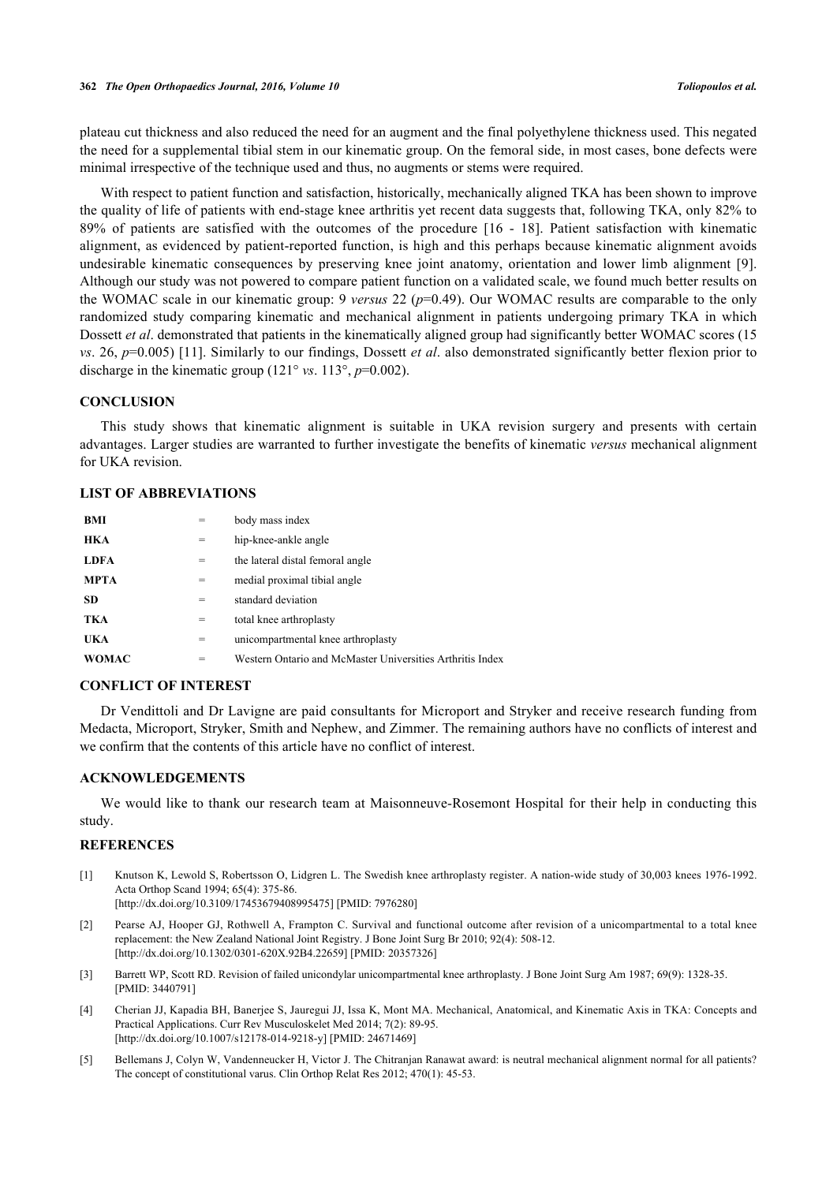plateau cut thickness and also reduced the need for an augment and the final polyethylene thickness used. This negated the need for a supplemental tibial stem in our kinematic group. On the femoral side, in most cases, bone defects were minimal irrespective of the technique used and thus, no augments or stems were required.

With respect to patient function and satisfaction, historically, mechanically aligned TKA has been shown to improve the quality of life of patients with end-stage knee arthritis yet recent data suggests that, following TKA, only 82% to 89% of patients are satisfied with the outcomes of the procedure[[16](#page-6-8) - [18\]](#page-6-9). Patient satisfaction with kinematic alignment, as evidenced by patient-reported function, is high and this perhaps because kinematic alignment avoids undesirable kinematic consequences by preserving knee joint anatomy, orientation and lower limb alignment[[9\]](#page-6-10). Although our study was not powered to compare patient function on a validated scale, we found much better results on the WOMAC scale in our kinematic group: 9 *versus* 22 (*p*=0.49). Our WOMAC results are comparable to the only randomized study comparing kinematic and mechanical alignment in patients undergoing primary TKA in which Dossett *et al*. demonstrated that patients in the kinematically aligned group had significantly better WOMAC scores (15 *vs*. 26, *p*=0.005) [[11\]](#page-6-3). Similarly to our findings, Dossett *et al*. also demonstrated significantly better flexion prior to discharge in the kinematic group (121° *vs*. 113°, *p*=0.002).

#### **CONCLUSION**

This study shows that kinematic alignment is suitable in UKA revision surgery and presents with certain advantages. Larger studies are warranted to further investigate the benefits of kinematic *versus* mechanical alignment for UKA revision.

## **LIST OF ABBREVIATIONS**

| BMI         | $=$ | body mass index                                           |
|-------------|-----|-----------------------------------------------------------|
| HKA         | $=$ | hip-knee-ankle angle                                      |
| <b>LDFA</b> | $=$ | the lateral distal femoral angle                          |
| <b>MPTA</b> | =   | medial proximal tibial angle                              |
| SD.         | =   | standard deviation                                        |
| TKA         | =   | total knee arthroplasty                                   |
| UKA         | =   | unicompartmental knee arthroplasty                        |
| WOMAC       | =   | Western Ontario and McMaster Universities Arthritis Index |

## **CONFLICT OF INTEREST**

Dr Vendittoli and Dr Lavigne are paid consultants for Microport and Stryker and receive research funding from Medacta, Microport, Stryker, Smith and Nephew, and Zimmer. The remaining authors have no conflicts of interest and we confirm that the contents of this article have no conflict of interest.

#### **ACKNOWLEDGEMENTS**

We would like to thank our research team at Maisonneuve-Rosemont Hospital for their help in conducting this study.

## **REFERENCES**

- <span id="page-5-0"></span>[1] Knutson K, Lewold S, Robertsson O, Lidgren L. The Swedish knee arthroplasty register. A nation-wide study of 30,003 knees 1976-1992. Acta Orthop Scand 1994; 65(4): 375-86. [\[http://dx.doi.org/10.3109/17453679408995475\]](http://dx.doi.org/10.3109/17453679408995475) [PMID: [7976280](http://www.ncbi.nlm.nih.gov/pubmed/7976280)]
- <span id="page-5-1"></span>[2] Pearse AJ, Hooper GJ, Rothwell A, Frampton C. Survival and functional outcome after revision of a unicompartmental to a total knee replacement: the New Zealand National Joint Registry. J Bone Joint Surg Br 2010; 92(4): 508-12. [\[http://dx.doi.org/10.1302/0301-620X.92B4.22659\]](http://dx.doi.org/10.1302/0301-620X.92B4.22659) [PMID: [20357326](http://www.ncbi.nlm.nih.gov/pubmed/20357326)]
- <span id="page-5-2"></span>[3] Barrett WP, Scott RD. Revision of failed unicondylar unicompartmental knee arthroplasty. J Bone Joint Surg Am 1987; 69(9): 1328-35. [PMID: [3440791\]](http://www.ncbi.nlm.nih.gov/pubmed/3440791)
- <span id="page-5-3"></span>[4] Cherian JJ, Kapadia BH, Banerjee S, Jauregui JJ, Issa K, Mont MA. Mechanical, Anatomical, and Kinematic Axis in TKA: Concepts and Practical Applications. Curr Rev Musculoskelet Med 2014; 7(2): 89-95. [\[http://dx.doi.org/10.1007/s12178-014-9218-y\]](http://dx.doi.org/10.1007/s12178-014-9218-y) [PMID: [24671469](http://www.ncbi.nlm.nih.gov/pubmed/24671469)]
- <span id="page-5-4"></span>[5] Bellemans J, Colyn W, Vandenneucker H, Victor J. The Chitranjan Ranawat award: is neutral mechanical alignment normal for all patients? The concept of constitutional varus. Clin Orthop Relat Res 2012; 470(1): 45-53.